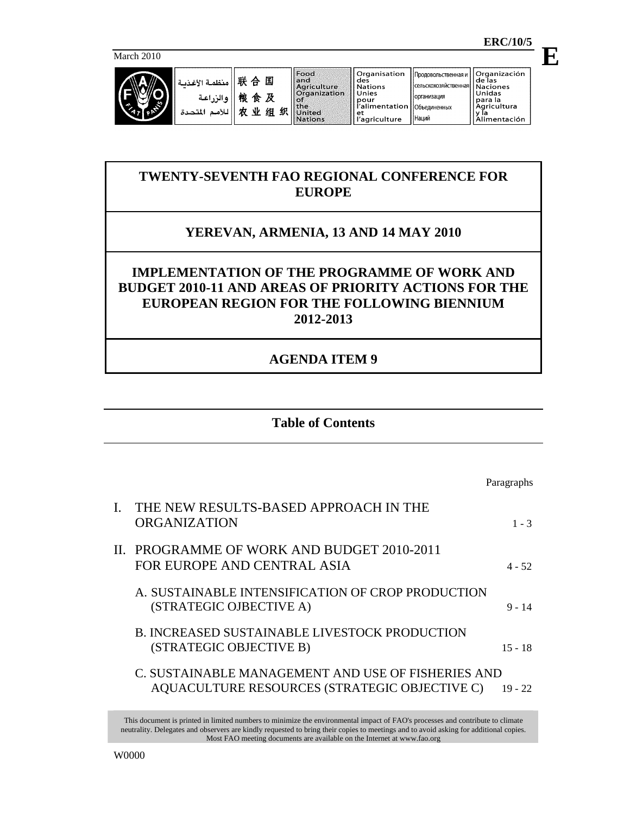**E**

March 2010

| منظمة الأغذمة<br>ه الن اعة | 眹<br>国<br>≙<br>桹<br>及<br>食<br>业<br>织<br>w<br>细 | Food<br>land<br><b>Agriculture</b><br>Organization<br>KOT<br><b>the</b><br>United | ll Organisation<br>des<br>Nations<br>Unies<br>pour<br>'alimentation '<br>i et | Продовольственная и<br>сельскохозяйственная і<br><b>Порганизация</b><br>∣∣Объединенных | Organización<br>de las<br><b>Naciones</b><br>Unidas<br>para la<br>Agricultura<br>ıa |
|----------------------------|------------------------------------------------|-----------------------------------------------------------------------------------|-------------------------------------------------------------------------------|----------------------------------------------------------------------------------------|-------------------------------------------------------------------------------------|
|                            |                                                | Nations                                                                           | 'agriculture                                                                  | I Наций                                                                                | Alimentación                                                                        |

# **TWENTY-SEVENTH FAO REGIONAL CONFERENCE FOR EUROPE**

# **YEREVAN, ARMENIA, 13 AND 14 MAY 2010**

# **IMPLEMENTATION OF THE PROGRAMME OF WORK AND BUDGET 2010-11 AND AREAS OF PRIORITY ACTIONS FOR THE EUROPEAN REGION FOR THE FOLLOWING BIENNIUM 2012-2013**

# **AGENDA ITEM 9**

## **Table of Contents**

|    |                                                                                                     | Paragraphs |
|----|-----------------------------------------------------------------------------------------------------|------------|
| L. | THE NEW RESULTS-BASED APPROACH IN THE<br><b>ORGANIZATION</b>                                        | $1 - 3$    |
|    | II. PROGRAMME OF WORK AND BUDGET 2010-2011<br>FOR EUROPE AND CENTRAL ASIA                           | $4 - 52$   |
|    | A. SUSTAINABLE INTENSIFICATION OF CROP PRODUCTION<br>(STRATEGIC OJBECTIVE A)                        | $9 - 14$   |
|    | <b>B. INCREASED SUSTAINABLE LIVESTOCK PRODUCTION</b><br>(STRATEGIC OBJECTIVE B)                     | $15 - 18$  |
|    | C. SUSTAINABLE MANAGEMENT AND USE OF FISHERIES AND<br>AQUACULTURE RESOURCES (STRATEGIC OBJECTIVE C) | $19 - 22$  |
|    |                                                                                                     |            |

This document is printed in limited numbers to minimize the environmental impact of FAO's processes and contribute to climate neutrality. Delegates and observers are kindly requested to bring their copies to meetings and to avoid asking for additional copies. Most FAO meeting documents are available on the Internet at www.fao.org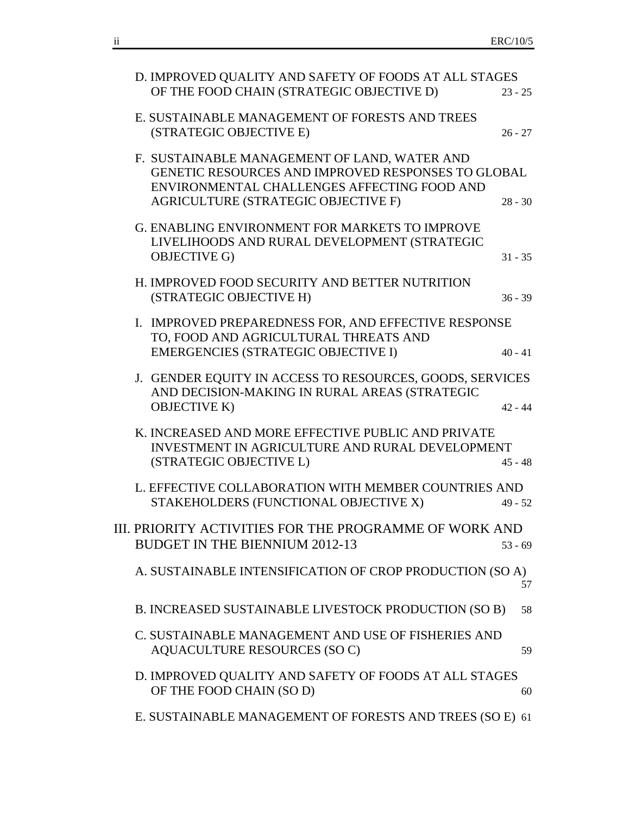|  | D. IMPROVED QUALITY AND SAFETY OF FOODS AT ALL STAGES<br>OF THE FOOD CHAIN (STRATEGIC OBJECTIVE D)                                                                                       | $23 - 25$ |
|--|------------------------------------------------------------------------------------------------------------------------------------------------------------------------------------------|-----------|
|  | E. SUSTAINABLE MANAGEMENT OF FORESTS AND TREES<br>(STRATEGIC OBJECTIVE E)                                                                                                                | $26 - 27$ |
|  | F. SUSTAINABLE MANAGEMENT OF LAND, WATER AND<br>GENETIC RESOURCES AND IMPROVED RESPONSES TO GLOBAL<br>ENVIRONMENTAL CHALLENGES AFFECTING FOOD AND<br>AGRICULTURE (STRATEGIC OBJECTIVE F) | $28 - 30$ |
|  | G. ENABLING ENVIRONMENT FOR MARKETS TO IMPROVE<br>LIVELIHOODS AND RURAL DEVELOPMENT (STRATEGIC<br><b>OBJECTIVE G)</b>                                                                    | $31 - 35$ |
|  | H. IMPROVED FOOD SECURITY AND BETTER NUTRITION<br>(STRATEGIC OBJECTIVE H)                                                                                                                | $36 - 39$ |
|  | I. IMPROVED PREPAREDNESS FOR, AND EFFECTIVE RESPONSE<br>TO, FOOD AND AGRICULTURAL THREATS AND<br><b>EMERGENCIES (STRATEGIC OBJECTIVE I)</b>                                              | $40 - 41$ |
|  | J. GENDER EQUITY IN ACCESS TO RESOURCES, GOODS, SERVICES<br>AND DECISION-MAKING IN RURAL AREAS (STRATEGIC<br><b>OBJECTIVE K)</b>                                                         | $42 - 44$ |
|  | K. INCREASED AND MORE EFFECTIVE PUBLIC AND PRIVATE<br><b>INVESTMENT IN AGRICULTURE AND RURAL DEVELOPMENT</b><br>(STRATEGIC OBJECTIVE L)                                                  | $45 - 48$ |
|  | L. EFFECTIVE COLLABORATION WITH MEMBER COUNTRIES AND<br>STAKEHOLDERS (FUNCTIONAL OBJECTIVE X)                                                                                            | $49 - 52$ |
|  | III. PRIORITY ACTIVITIES FOR THE PROGRAMME OF WORK AND<br><b>BUDGET IN THE BIENNIUM 2012-13</b>                                                                                          | $53 - 69$ |
|  | A. SUSTAINABLE INTENSIFICATION OF CROP PRODUCTION (SO A)                                                                                                                                 | 57        |
|  | B. INCREASED SUSTAINABLE LIVESTOCK PRODUCTION (SO B)                                                                                                                                     | 58        |
|  | C. SUSTAINABLE MANAGEMENT AND USE OF FISHERIES AND<br>AQUACULTURE RESOURCES (SOC)                                                                                                        | 59        |
|  | D. IMPROVED QUALITY AND SAFETY OF FOODS AT ALL STAGES<br>OF THE FOOD CHAIN (SO D)                                                                                                        | 60        |
|  | E. SUSTAINABLE MANAGEMENT OF FORESTS AND TREES (SO E) 61                                                                                                                                 |           |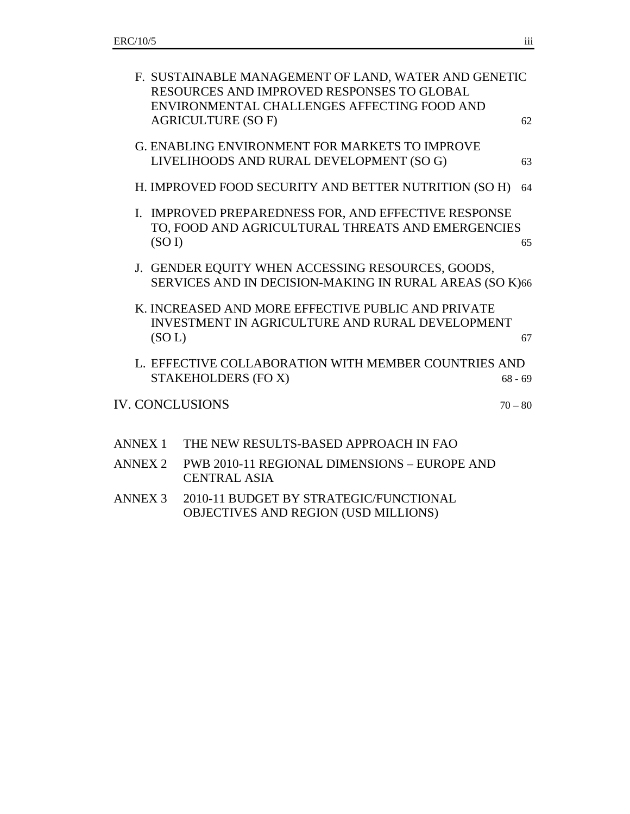|                        | F. SUSTAINABLE MANAGEMENT OF LAND, WATER AND GENETIC<br>RESOURCES AND IMPROVED RESPONSES TO GLOBAL<br>ENVIRONMENTAL CHALLENGES AFFECTING FOOD AND |           |
|------------------------|---------------------------------------------------------------------------------------------------------------------------------------------------|-----------|
|                        | <b>AGRICULTURE (SO F)</b>                                                                                                                         | 62        |
|                        | <b>G. ENABLING ENVIRONMENT FOR MARKETS TO IMPROVE</b><br>LIVELIHOODS AND RURAL DEVELOPMENT (SO G)                                                 | 63        |
|                        | H. IMPROVED FOOD SECURITY AND BETTER NUTRITION (SO H)                                                                                             | 64        |
| (SO I)                 | I. IMPROVED PREPAREDNESS FOR, AND EFFECTIVE RESPONSE<br>TO, FOOD AND AGRICULTURAL THREATS AND EMERGENCIES                                         | 65        |
|                        | J. GENDER EQUITY WHEN ACCESSING RESOURCES, GOODS,<br>SERVICES AND IN DECISION-MAKING IN RURAL AREAS (SO K)66                                      |           |
| (SOL)                  | K. INCREASED AND MORE EFFECTIVE PUBLIC AND PRIVATE<br><b>INVESTMENT IN AGRICULTURE AND RURAL DEVELOPMENT</b>                                      | 67        |
|                        | L. EFFECTIVE COLLABORATION WITH MEMBER COUNTRIES AND<br>STAKEHOLDERS (FO X)                                                                       | $68 - 69$ |
| <b>IV. CONCLUSIONS</b> |                                                                                                                                                   | $70 - 80$ |
| <b>ANNEX 1</b>         | THE NEW RESULTS-BASED APPROACH IN FAO                                                                                                             |           |
| <b>ANNEX 2</b>         | PWB 2010-11 REGIONAL DIMENSIONS - EUROPE AND<br><b>CENTRAL ASIA</b>                                                                               |           |
| <b>ANNEX 3</b>         | 2010-11 BUDGET BY STRATEGIC/FUNCTIONAL<br>OBJECTIVES AND REGION (USD MILLIONS)                                                                    |           |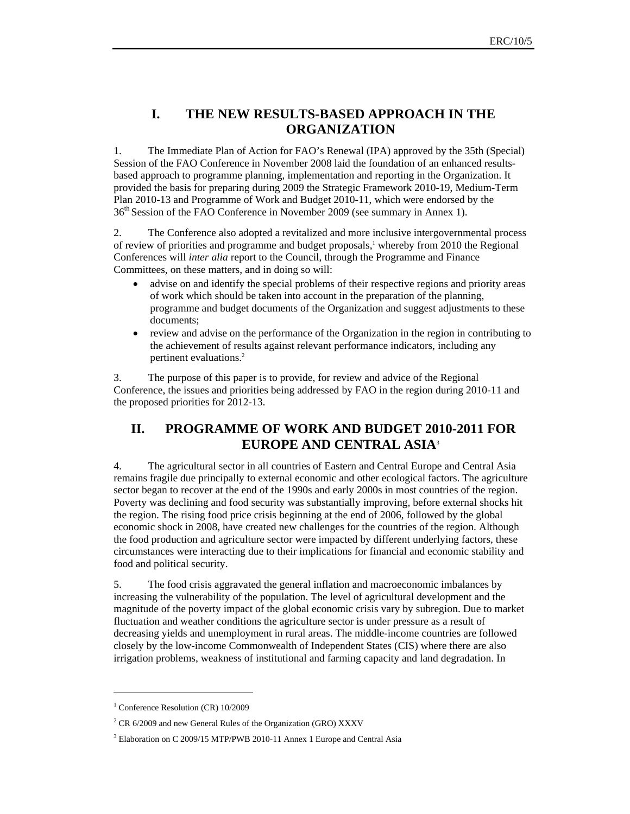## **I. THE NEW RESULTS-BASED APPROACH IN THE ORGANIZATION**

1. The Immediate Plan of Action for FAO's Renewal (IPA) approved by the 35th (Special) Session of the FAO Conference in November 2008 laid the foundation of an enhanced resultsbased approach to programme planning, implementation and reporting in the Organization. It provided the basis for preparing during 2009 the Strategic Framework 2010-19, Medium-Term Plan 2010-13 and Programme of Work and Budget 2010-11, which were endorsed by the 36th Session of the FAO Conference in November 2009 (see summary in Annex 1).

2. The Conference also adopted a revitalized and more inclusive intergovernmental process of review of priorities and programme and budget proposals,<sup>1</sup> whereby from 2010 the Regional Conferences will *inter alia* report to the Council, through the Programme and Finance Committees, on these matters, and in doing so will:

- advise on and identify the special problems of their respective regions and priority areas of work which should be taken into account in the preparation of the planning, programme and budget documents of the Organization and suggest adjustments to these documents;
- review and advise on the performance of the Organization in the region in contributing to the achievement of results against relevant performance indicators, including any pertinent evaluations.2

3. The purpose of this paper is to provide, for review and advice of the Regional Conference, the issues and priorities being addressed by FAO in the region during 2010-11 and the proposed priorities for 2012-13.

## **II. PROGRAMME OF WORK AND BUDGET 2010-2011 FOR EUROPE AND CENTRAL ASIA**<sup>3</sup>

4. The agricultural sector in all countries of Eastern and Central Europe and Central Asia remains fragile due principally to external economic and other ecological factors. The agriculture sector began to recover at the end of the 1990s and early 2000s in most countries of the region. Poverty was declining and food security was substantially improving, before external shocks hit the region. The rising food price crisis beginning at the end of 2006, followed by the global economic shock in 2008, have created new challenges for the countries of the region. Although the food production and agriculture sector were impacted by different underlying factors, these circumstances were interacting due to their implications for financial and economic stability and food and political security.

5. The food crisis aggravated the general inflation and macroeconomic imbalances by increasing the vulnerability of the population. The level of agricultural development and the magnitude of the poverty impact of the global economic crisis vary by subregion. Due to market fluctuation and weather conditions the agriculture sector is under pressure as a result of decreasing yields and unemployment in rural areas. The middle-income countries are followed closely by the low-income Commonwealth of Independent States (CIS) where there are also irrigation problems, weakness of institutional and farming capacity and land degradation. In

 $\overline{a}$ 

<sup>&</sup>lt;sup>1</sup> Conference Resolution (CR) 10/2009

 $2^2$  CR 6/2009 and new General Rules of the Organization (GRO) XXXV

<sup>&</sup>lt;sup>3</sup> Elaboration on C 2009/15 MTP/PWB 2010-11 Annex 1 Europe and Central Asia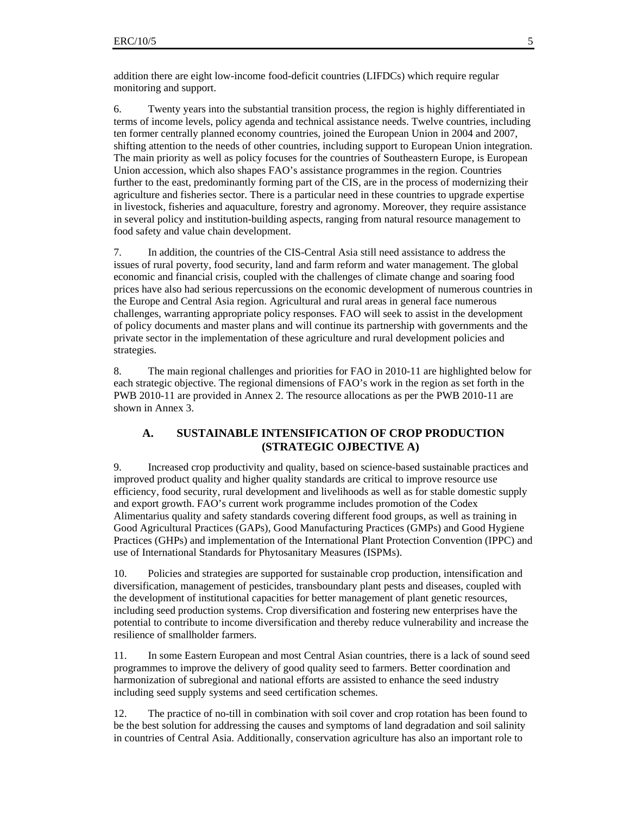addition there are eight low-income food-deficit countries (LIFDCs) which require regular monitoring and support.

6. Twenty years into the substantial transition process, the region is highly differentiated in terms of income levels, policy agenda and technical assistance needs. Twelve countries, including ten former centrally planned economy countries, joined the European Union in 2004 and 2007, shifting attention to the needs of other countries, including support to European Union integration. The main priority as well as policy focuses for the countries of Southeastern Europe, is European Union accession, which also shapes FAO's assistance programmes in the region. Countries further to the east, predominantly forming part of the CIS, are in the process of modernizing their agriculture and fisheries sector. There is a particular need in these countries to upgrade expertise in livestock, fisheries and aquaculture, forestry and agronomy. Moreover, they require assistance in several policy and institution-building aspects, ranging from natural resource management to food safety and value chain development.

7. In addition, the countries of the CIS-Central Asia still need assistance to address the issues of rural poverty, food security, land and farm reform and water management. The global economic and financial crisis, coupled with the challenges of climate change and soaring food prices have also had serious repercussions on the economic development of numerous countries in the Europe and Central Asia region. Agricultural and rural areas in general face numerous challenges, warranting appropriate policy responses. FAO will seek to assist in the development of policy documents and master plans and will continue its partnership with governments and the private sector in the implementation of these agriculture and rural development policies and strategies.

8. The main regional challenges and priorities for FAO in 2010-11 are highlighted below for each strategic objective. The regional dimensions of FAO's work in the region as set forth in the PWB 2010-11 are provided in Annex 2. The resource allocations as per the PWB 2010-11 are shown in Annex 3.

#### **A. SUSTAINABLE INTENSIFICATION OF CROP PRODUCTION (STRATEGIC OJBECTIVE A)**

9. Increased crop productivity and quality, based on science-based sustainable practices and improved product quality and higher quality standards are critical to improve resource use efficiency, food security, rural development and livelihoods as well as for stable domestic supply and export growth. FAO's current work programme includes promotion of the Codex Alimentarius quality and safety standards covering different food groups, as well as training in Good Agricultural Practices (GAPs), Good Manufacturing Practices (GMPs) and Good Hygiene Practices (GHPs) and implementation of the International Plant Protection Convention (IPPC) and use of International Standards for Phytosanitary Measures (ISPMs).

10. Policies and strategies are supported for sustainable crop production, intensification and diversification, management of pesticides, transboundary plant pests and diseases, coupled with the development of institutional capacities for better management of plant genetic resources, including seed production systems. Crop diversification and fostering new enterprises have the potential to contribute to income diversification and thereby reduce vulnerability and increase the resilience of smallholder farmers.

11. In some Eastern European and most Central Asian countries, there is a lack of sound seed programmes to improve the delivery of good quality seed to farmers. Better coordination and harmonization of subregional and national efforts are assisted to enhance the seed industry including seed supply systems and seed certification schemes.

12. The practice of no-till in combination with soil cover and crop rotation has been found to be the best solution for addressing the causes and symptoms of land degradation and soil salinity in countries of Central Asia. Additionally, conservation agriculture has also an important role to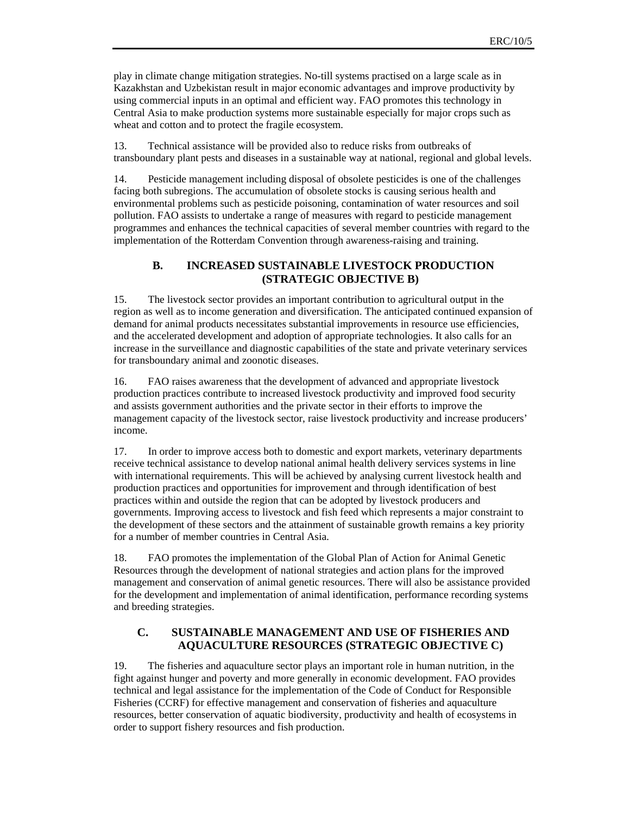play in climate change mitigation strategies. No-till systems practised on a large scale as in Kazakhstan and Uzbekistan result in major economic advantages and improve productivity by using commercial inputs in an optimal and efficient way. FAO promotes this technology in Central Asia to make production systems more sustainable especially for major crops such as wheat and cotton and to protect the fragile ecosystem.

13. Technical assistance will be provided also to reduce risks from outbreaks of transboundary plant pests and diseases in a sustainable way at national, regional and global levels.

14. Pesticide management including disposal of obsolete pesticides is one of the challenges facing both subregions. The accumulation of obsolete stocks is causing serious health and environmental problems such as pesticide poisoning, contamination of water resources and soil pollution. FAO assists to undertake a range of measures with regard to pesticide management programmes and enhances the technical capacities of several member countries with regard to the implementation of the Rotterdam Convention through awareness-raising and training.

## **B. INCREASED SUSTAINABLE LIVESTOCK PRODUCTION (STRATEGIC OBJECTIVE B)**

15. The livestock sector provides an important contribution to agricultural output in the region as well as to income generation and diversification. The anticipated continued expansion of demand for animal products necessitates substantial improvements in resource use efficiencies, and the accelerated development and adoption of appropriate technologies. It also calls for an increase in the surveillance and diagnostic capabilities of the state and private veterinary services for transboundary animal and zoonotic diseases.

16. FAO raises awareness that the development of advanced and appropriate livestock production practices contribute to increased livestock productivity and improved food security and assists government authorities and the private sector in their efforts to improve the management capacity of the livestock sector, raise livestock productivity and increase producers' income.

17. In order to improve access both to domestic and export markets, veterinary departments receive technical assistance to develop national animal health delivery services systems in line with international requirements. This will be achieved by analysing current livestock health and production practices and opportunities for improvement and through identification of best practices within and outside the region that can be adopted by livestock producers and governments. Improving access to livestock and fish feed which represents a major constraint to the development of these sectors and the attainment of sustainable growth remains a key priority for a number of member countries in Central Asia.

18. FAO promotes the implementation of the Global Plan of Action for Animal Genetic Resources through the development of national strategies and action plans for the improved management and conservation of animal genetic resources. There will also be assistance provided for the development and implementation of animal identification, performance recording systems and breeding strategies.

## **C. SUSTAINABLE MANAGEMENT AND USE OF FISHERIES AND AQUACULTURE RESOURCES (STRATEGIC OBJECTIVE C)**

19. The fisheries and aquaculture sector plays an important role in human nutrition, in the fight against hunger and poverty and more generally in economic development. FAO provides technical and legal assistance for the implementation of the Code of Conduct for Responsible Fisheries (CCRF) for effective management and conservation of fisheries and aquaculture resources, better conservation of aquatic biodiversity, productivity and health of ecosystems in order to support fishery resources and fish production.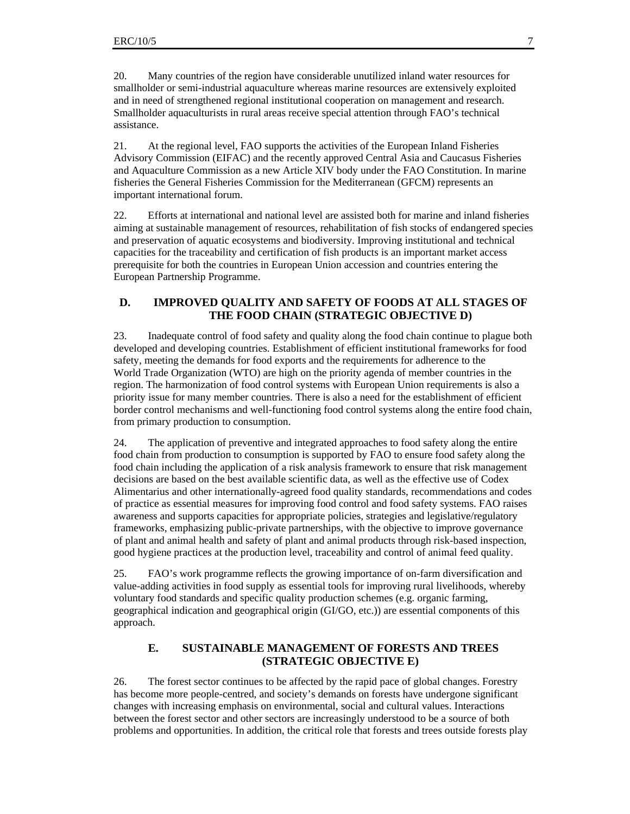20. Many countries of the region have considerable unutilized inland water resources for smallholder or semi-industrial aquaculture whereas marine resources are extensively exploited and in need of strengthened regional institutional cooperation on management and research. Smallholder aquaculturists in rural areas receive special attention through FAO's technical assistance.

21. At the regional level, FAO supports the activities of the European Inland Fisheries Advisory Commission (EIFAC) and the recently approved Central Asia and Caucasus Fisheries and Aquaculture Commission as a new Article XIV body under the FAO Constitution. In marine fisheries the General Fisheries Commission for the Mediterranean (GFCM) represents an important international forum.

22. Efforts at international and national level are assisted both for marine and inland fisheries aiming at sustainable management of resources, rehabilitation of fish stocks of endangered species and preservation of aquatic ecosystems and biodiversity. Improving institutional and technical capacities for the traceability and certification of fish products is an important market access prerequisite for both the countries in European Union accession and countries entering the European Partnership Programme.

#### **D. IMPROVED QUALITY AND SAFETY OF FOODS AT ALL STAGES OF THE FOOD CHAIN (STRATEGIC OBJECTIVE D)**

23. Inadequate control of food safety and quality along the food chain continue to plague both developed and developing countries. Establishment of efficient institutional frameworks for food safety, meeting the demands for food exports and the requirements for adherence to the World Trade Organization (WTO) are high on the priority agenda of member countries in the region. The harmonization of food control systems with European Union requirements is also a priority issue for many member countries. There is also a need for the establishment of efficient border control mechanisms and well-functioning food control systems along the entire food chain, from primary production to consumption.

24. The application of preventive and integrated approaches to food safety along the entire food chain from production to consumption is supported by FAO to ensure food safety along the food chain including the application of a risk analysis framework to ensure that risk management decisions are based on the best available scientific data, as well as the effective use of Codex Alimentarius and other internationally-agreed food quality standards, recommendations and codes of practice as essential measures for improving food control and food safety systems. FAO raises awareness and supports capacities for appropriate policies, strategies and legislative/regulatory frameworks, emphasizing public-private partnerships, with the objective to improve governance of plant and animal health and safety of plant and animal products through risk-based inspection, good hygiene practices at the production level, traceability and control of animal feed quality.

25. FAO's work programme reflects the growing importance of on-farm diversification and value-adding activities in food supply as essential tools for improving rural livelihoods, whereby voluntary food standards and specific quality production schemes (e.g. organic farming, geographical indication and geographical origin (GI/GO, etc.)) are essential components of this approach.

#### **E. SUSTAINABLE MANAGEMENT OF FORESTS AND TREES (STRATEGIC OBJECTIVE E)**

26. The forest sector continues to be affected by the rapid pace of global changes. Forestry has become more people-centred, and society's demands on forests have undergone significant changes with increasing emphasis on environmental, social and cultural values. Interactions between the forest sector and other sectors are increasingly understood to be a source of both problems and opportunities. In addition, the critical role that forests and trees outside forests play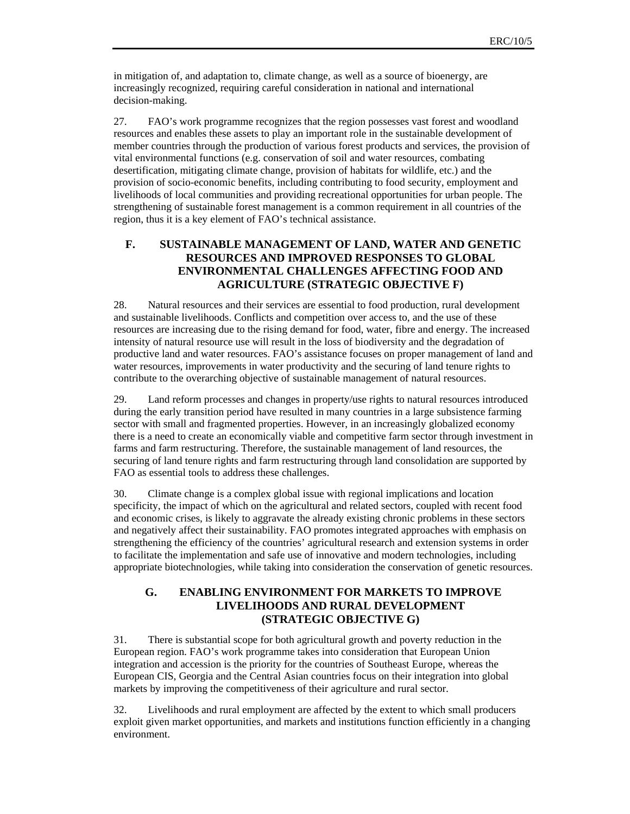in mitigation of, and adaptation to, climate change, as well as a source of bioenergy, are increasingly recognized, requiring careful consideration in national and international decision-making.

27. FAO's work programme recognizes that the region possesses vast forest and woodland resources and enables these assets to play an important role in the sustainable development of member countries through the production of various forest products and services, the provision of vital environmental functions (e.g. conservation of soil and water resources, combating desertification, mitigating climate change, provision of habitats for wildlife, etc.) and the provision of socio-economic benefits, including contributing to food security, employment and livelihoods of local communities and providing recreational opportunities for urban people. The strengthening of sustainable forest management is a common requirement in all countries of the region, thus it is a key element of FAO's technical assistance.

#### **F. SUSTAINABLE MANAGEMENT OF LAND, WATER AND GENETIC RESOURCES AND IMPROVED RESPONSES TO GLOBAL ENVIRONMENTAL CHALLENGES AFFECTING FOOD AND AGRICULTURE (STRATEGIC OBJECTIVE F)**

28. Natural resources and their services are essential to food production, rural development and sustainable livelihoods. Conflicts and competition over access to, and the use of these resources are increasing due to the rising demand for food, water, fibre and energy. The increased intensity of natural resource use will result in the loss of biodiversity and the degradation of productive land and water resources. FAO's assistance focuses on proper management of land and water resources, improvements in water productivity and the securing of land tenure rights to contribute to the overarching objective of sustainable management of natural resources.

29. Land reform processes and changes in property/use rights to natural resources introduced during the early transition period have resulted in many countries in a large subsistence farming sector with small and fragmented properties. However, in an increasingly globalized economy there is a need to create an economically viable and competitive farm sector through investment in farms and farm restructuring. Therefore, the sustainable management of land resources, the securing of land tenure rights and farm restructuring through land consolidation are supported by FAO as essential tools to address these challenges.

30. Climate change is a complex global issue with regional implications and location specificity, the impact of which on the agricultural and related sectors, coupled with recent food and economic crises, is likely to aggravate the already existing chronic problems in these sectors and negatively affect their sustainability. FAO promotes integrated approaches with emphasis on strengthening the efficiency of the countries' agricultural research and extension systems in order to facilitate the implementation and safe use of innovative and modern technologies, including appropriate biotechnologies, while taking into consideration the conservation of genetic resources.

## **G. ENABLING ENVIRONMENT FOR MARKETS TO IMPROVE LIVELIHOODS AND RURAL DEVELOPMENT (STRATEGIC OBJECTIVE G)**

31. There is substantial scope for both agricultural growth and poverty reduction in the European region. FAO's work programme takes into consideration that European Union integration and accession is the priority for the countries of Southeast Europe, whereas the European CIS, Georgia and the Central Asian countries focus on their integration into global markets by improving the competitiveness of their agriculture and rural sector.

32. Livelihoods and rural employment are affected by the extent to which small producers exploit given market opportunities, and markets and institutions function efficiently in a changing environment.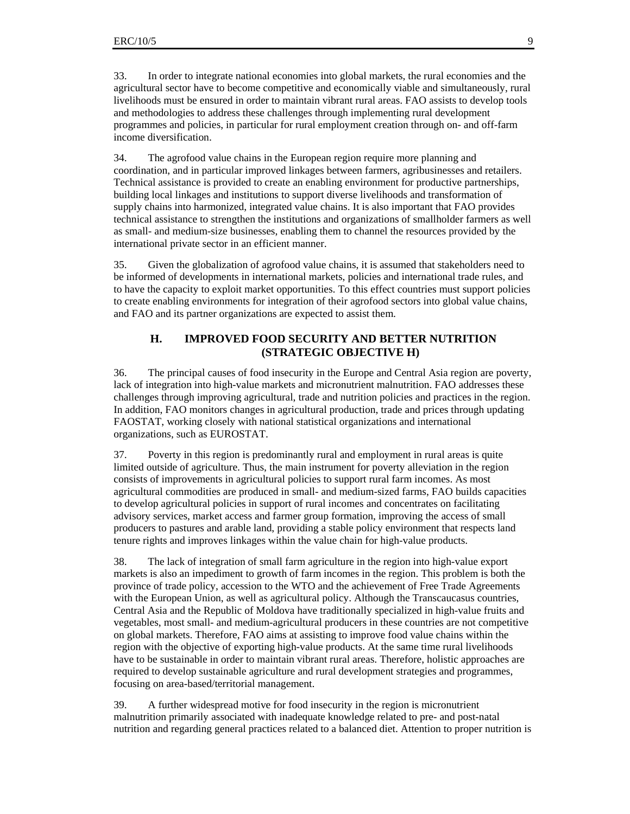33. In order to integrate national economies into global markets, the rural economies and the agricultural sector have to become competitive and economically viable and simultaneously, rural livelihoods must be ensured in order to maintain vibrant rural areas. FAO assists to develop tools and methodologies to address these challenges through implementing rural development programmes and policies, in particular for rural employment creation through on- and off-farm income diversification.

34. The agrofood value chains in the European region require more planning and coordination, and in particular improved linkages between farmers, agribusinesses and retailers. Technical assistance is provided to create an enabling environment for productive partnerships, building local linkages and institutions to support diverse livelihoods and transformation of supply chains into harmonized, integrated value chains. It is also important that FAO provides technical assistance to strengthen the institutions and organizations of smallholder farmers as well as small- and medium-size businesses, enabling them to channel the resources provided by the international private sector in an efficient manner.

35. Given the globalization of agrofood value chains, it is assumed that stakeholders need to be informed of developments in international markets, policies and international trade rules, and to have the capacity to exploit market opportunities. To this effect countries must support policies to create enabling environments for integration of their agrofood sectors into global value chains, and FAO and its partner organizations are expected to assist them.

#### **H. IMPROVED FOOD SECURITY AND BETTER NUTRITION (STRATEGIC OBJECTIVE H)**

36. The principal causes of food insecurity in the Europe and Central Asia region are poverty, lack of integration into high-value markets and micronutrient malnutrition. FAO addresses these challenges through improving agricultural, trade and nutrition policies and practices in the region. In addition, FAO monitors changes in agricultural production, trade and prices through updating FAOSTAT, working closely with national statistical organizations and international organizations, such as EUROSTAT.

37. Poverty in this region is predominantly rural and employment in rural areas is quite limited outside of agriculture. Thus, the main instrument for poverty alleviation in the region consists of improvements in agricultural policies to support rural farm incomes. As most agricultural commodities are produced in small- and medium-sized farms, FAO builds capacities to develop agricultural policies in support of rural incomes and concentrates on facilitating advisory services, market access and farmer group formation, improving the access of small producers to pastures and arable land, providing a stable policy environment that respects land tenure rights and improves linkages within the value chain for high-value products.

38. The lack of integration of small farm agriculture in the region into high-value export markets is also an impediment to growth of farm incomes in the region. This problem is both the province of trade policy, accession to the WTO and the achievement of Free Trade Agreements with the European Union, as well as agricultural policy. Although the Transcaucasus countries, Central Asia and the Republic of Moldova have traditionally specialized in high-value fruits and vegetables, most small- and medium-agricultural producers in these countries are not competitive on global markets. Therefore, FAO aims at assisting to improve food value chains within the region with the objective of exporting high-value products. At the same time rural livelihoods have to be sustainable in order to maintain vibrant rural areas. Therefore, holistic approaches are required to develop sustainable agriculture and rural development strategies and programmes, focusing on area-based/territorial management.

39. A further widespread motive for food insecurity in the region is micronutrient malnutrition primarily associated with inadequate knowledge related to pre- and post-natal nutrition and regarding general practices related to a balanced diet. Attention to proper nutrition is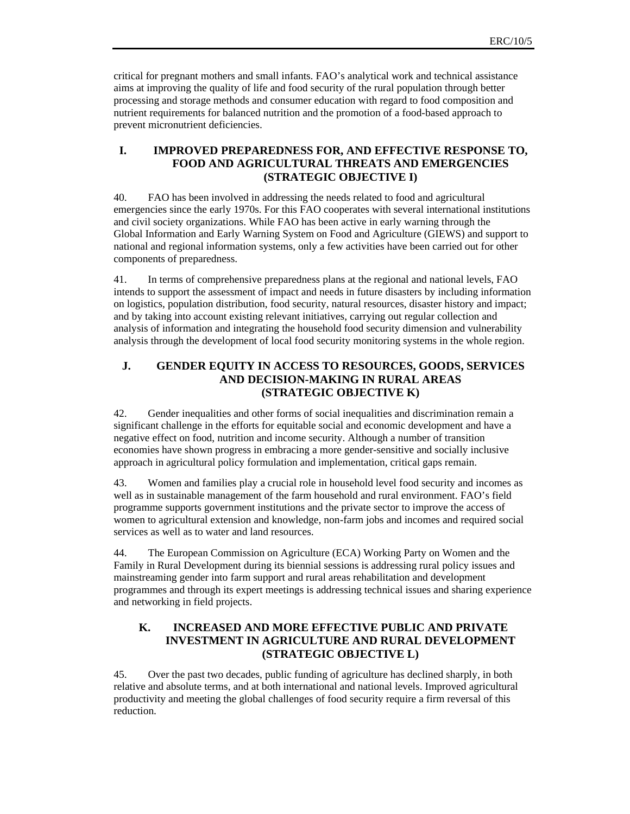critical for pregnant mothers and small infants. FAO's analytical work and technical assistance aims at improving the quality of life and food security of the rural population through better processing and storage methods and consumer education with regard to food composition and nutrient requirements for balanced nutrition and the promotion of a food-based approach to prevent micronutrient deficiencies.

#### **I. IMPROVED PREPAREDNESS FOR, AND EFFECTIVE RESPONSE TO, FOOD AND AGRICULTURAL THREATS AND EMERGENCIES (STRATEGIC OBJECTIVE I)**

40. FAO has been involved in addressing the needs related to food and agricultural emergencies since the early 1970s. For this FAO cooperates with several international institutions and civil society organizations. While FAO has been active in early warning through the Global Information and Early Warning System on Food and Agriculture (GIEWS) and support to national and regional information systems, only a few activities have been carried out for other components of preparedness.

41. In terms of comprehensive preparedness plans at the regional and national levels, FAO intends to support the assessment of impact and needs in future disasters by including information on logistics, population distribution, food security, natural resources, disaster history and impact; and by taking into account existing relevant initiatives, carrying out regular collection and analysis of information and integrating the household food security dimension and vulnerability analysis through the development of local food security monitoring systems in the whole region.

## **J. GENDER EQUITY IN ACCESS TO RESOURCES, GOODS, SERVICES AND DECISION-MAKING IN RURAL AREAS (STRATEGIC OBJECTIVE K)**

42. Gender inequalities and other forms of social inequalities and discrimination remain a significant challenge in the efforts for equitable social and economic development and have a negative effect on food, nutrition and income security. Although a number of transition economies have shown progress in embracing a more gender-sensitive and socially inclusive approach in agricultural policy formulation and implementation, critical gaps remain.

43. Women and families play a crucial role in household level food security and incomes as well as in sustainable management of the farm household and rural environment. FAO's field programme supports government institutions and the private sector to improve the access of women to agricultural extension and knowledge, non-farm jobs and incomes and required social services as well as to water and land resources.

44. The European Commission on Agriculture (ECA) Working Party on Women and the Family in Rural Development during its biennial sessions is addressing rural policy issues and mainstreaming gender into farm support and rural areas rehabilitation and development programmes and through its expert meetings is addressing technical issues and sharing experience and networking in field projects.

#### **K. INCREASED AND MORE EFFECTIVE PUBLIC AND PRIVATE INVESTMENT IN AGRICULTURE AND RURAL DEVELOPMENT (STRATEGIC OBJECTIVE L)**

45. Over the past two decades, public funding of agriculture has declined sharply, in both relative and absolute terms, and at both international and national levels. Improved agricultural productivity and meeting the global challenges of food security require a firm reversal of this reduction.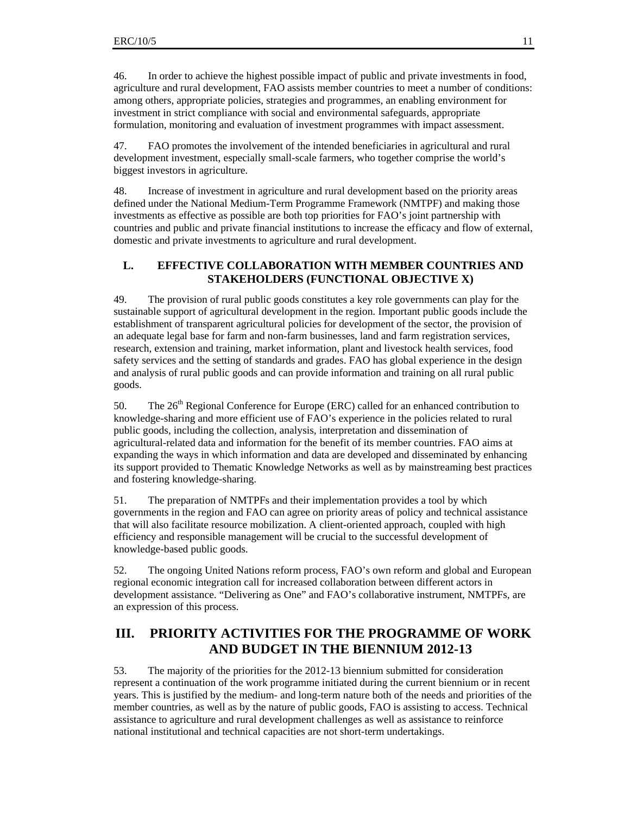46. In order to achieve the highest possible impact of public and private investments in food, agriculture and rural development, FAO assists member countries to meet a number of conditions: among others, appropriate policies, strategies and programmes, an enabling environment for investment in strict compliance with social and environmental safeguards, appropriate formulation, monitoring and evaluation of investment programmes with impact assessment.

47. FAO promotes the involvement of the intended beneficiaries in agricultural and rural development investment, especially small-scale farmers, who together comprise the world's biggest investors in agriculture.

48. Increase of investment in agriculture and rural development based on the priority areas defined under the National Medium-Term Programme Framework (NMTPF) and making those investments as effective as possible are both top priorities for FAO's joint partnership with countries and public and private financial institutions to increase the efficacy and flow of external, domestic and private investments to agriculture and rural development.

## **L. EFFECTIVE COLLABORATION WITH MEMBER COUNTRIES AND STAKEHOLDERS (FUNCTIONAL OBJECTIVE X)**

49. The provision of rural public goods constitutes a key role governments can play for the sustainable support of agricultural development in the region. Important public goods include the establishment of transparent agricultural policies for development of the sector, the provision of an adequate legal base for farm and non-farm businesses, land and farm registration services, research, extension and training, market information, plant and livestock health services, food safety services and the setting of standards and grades. FAO has global experience in the design and analysis of rural public goods and can provide information and training on all rural public goods.

50. The  $26<sup>th</sup>$  Regional Conference for Europe (ERC) called for an enhanced contribution to knowledge-sharing and more efficient use of FAO's experience in the policies related to rural public goods, including the collection, analysis, interpretation and dissemination of agricultural-related data and information for the benefit of its member countries. FAO aims at expanding the ways in which information and data are developed and disseminated by enhancing its support provided to Thematic Knowledge Networks as well as by mainstreaming best practices and fostering knowledge-sharing.

51. The preparation of NMTPFs and their implementation provides a tool by which governments in the region and FAO can agree on priority areas of policy and technical assistance that will also facilitate resource mobilization. A client-oriented approach, coupled with high efficiency and responsible management will be crucial to the successful development of knowledge-based public goods.

52. The ongoing United Nations reform process, FAO's own reform and global and European regional economic integration call for increased collaboration between different actors in development assistance. "Delivering as One" and FAO's collaborative instrument, NMTPFs, are an expression of this process.

## **III. PRIORITY ACTIVITIES FOR THE PROGRAMME OF WORK AND BUDGET IN THE BIENNIUM 2012-13**

53. The majority of the priorities for the 2012-13 biennium submitted for consideration represent a continuation of the work programme initiated during the current biennium or in recent years. This is justified by the medium- and long-term nature both of the needs and priorities of the member countries, as well as by the nature of public goods, FAO is assisting to access. Technical assistance to agriculture and rural development challenges as well as assistance to reinforce national institutional and technical capacities are not short-term undertakings.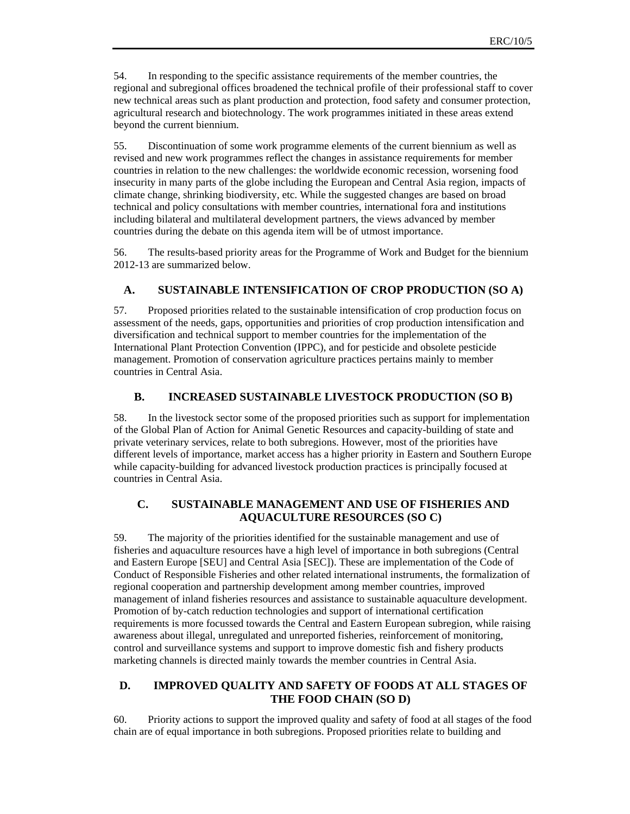54. In responding to the specific assistance requirements of the member countries, the regional and subregional offices broadened the technical profile of their professional staff to cover new technical areas such as plant production and protection, food safety and consumer protection, agricultural research and biotechnology. The work programmes initiated in these areas extend beyond the current biennium.

55. Discontinuation of some work programme elements of the current biennium as well as revised and new work programmes reflect the changes in assistance requirements for member countries in relation to the new challenges: the worldwide economic recession, worsening food insecurity in many parts of the globe including the European and Central Asia region, impacts of climate change, shrinking biodiversity, etc. While the suggested changes are based on broad technical and policy consultations with member countries, international fora and institutions including bilateral and multilateral development partners, the views advanced by member countries during the debate on this agenda item will be of utmost importance.

56. The results-based priority areas for the Programme of Work and Budget for the biennium 2012-13 are summarized below.

#### **A. SUSTAINABLE INTENSIFICATION OF CROP PRODUCTION (SO A)**

57. Proposed priorities related to the sustainable intensification of crop production focus on assessment of the needs, gaps, opportunities and priorities of crop production intensification and diversification and technical support to member countries for the implementation of the International Plant Protection Convention (IPPC), and for pesticide and obsolete pesticide management. Promotion of conservation agriculture practices pertains mainly to member countries in Central Asia.

#### **B. INCREASED SUSTAINABLE LIVESTOCK PRODUCTION (SO B)**

58. In the livestock sector some of the proposed priorities such as support for implementation of the Global Plan of Action for Animal Genetic Resources and capacity-building of state and private veterinary services, relate to both subregions. However, most of the priorities have different levels of importance, market access has a higher priority in Eastern and Southern Europe while capacity-building for advanced livestock production practices is principally focused at countries in Central Asia.

#### **C. SUSTAINABLE MANAGEMENT AND USE OF FISHERIES AND AQUACULTURE RESOURCES (SO C)**

59. The majority of the priorities identified for the sustainable management and use of fisheries and aquaculture resources have a high level of importance in both subregions (Central and Eastern Europe [SEU] and Central Asia [SEC]). These are implementation of the Code of Conduct of Responsible Fisheries and other related international instruments, the formalization of regional cooperation and partnership development among member countries, improved management of inland fisheries resources and assistance to sustainable aquaculture development. Promotion of by-catch reduction technologies and support of international certification requirements is more focussed towards the Central and Eastern European subregion, while raising awareness about illegal, unregulated and unreported fisheries, reinforcement of monitoring, control and surveillance systems and support to improve domestic fish and fishery products marketing channels is directed mainly towards the member countries in Central Asia.

#### **D. IMPROVED QUALITY AND SAFETY OF FOODS AT ALL STAGES OF THE FOOD CHAIN (SO D)**

60. Priority actions to support the improved quality and safety of food at all stages of the food chain are of equal importance in both subregions. Proposed priorities relate to building and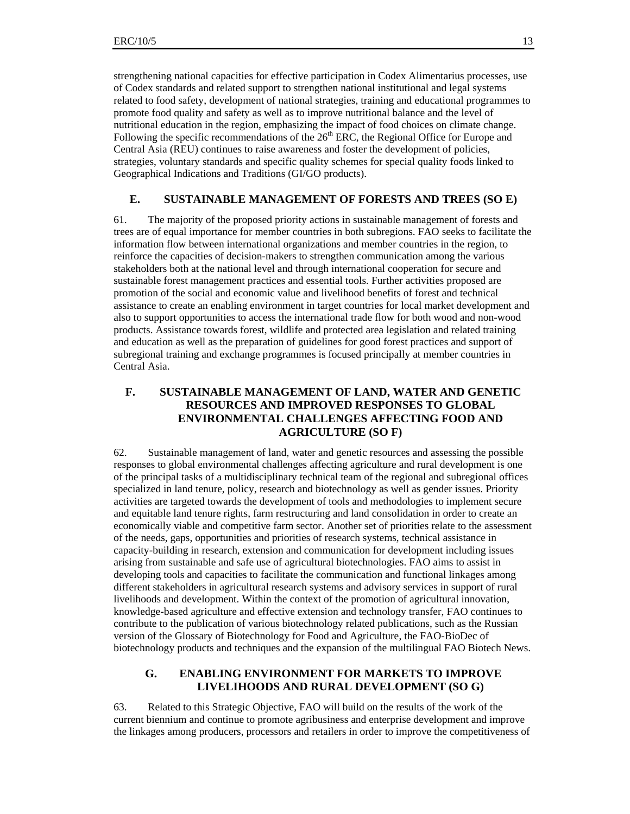strengthening national capacities for effective participation in Codex Alimentarius processes, use of Codex standards and related support to strengthen national institutional and legal systems related to food safety, development of national strategies, training and educational programmes to promote food quality and safety as well as to improve nutritional balance and the level of nutritional education in the region, emphasizing the impact of food choices on climate change. Following the specific recommendations of the  $26<sup>th</sup>$  ERC, the Regional Office for Europe and Central Asia (REU) continues to raise awareness and foster the development of policies, strategies, voluntary standards and specific quality schemes for special quality foods linked to Geographical Indications and Traditions (GI/GO products).

#### **E. SUSTAINABLE MANAGEMENT OF FORESTS AND TREES (SO E)**

61. The majority of the proposed priority actions in sustainable management of forests and trees are of equal importance for member countries in both subregions. FAO seeks to facilitate the information flow between international organizations and member countries in the region, to reinforce the capacities of decision-makers to strengthen communication among the various stakeholders both at the national level and through international cooperation for secure and sustainable forest management practices and essential tools. Further activities proposed are promotion of the social and economic value and livelihood benefits of forest and technical assistance to create an enabling environment in target countries for local market development and also to support opportunities to access the international trade flow for both wood and non-wood products. Assistance towards forest, wildlife and protected area legislation and related training and education as well as the preparation of guidelines for good forest practices and support of subregional training and exchange programmes is focused principally at member countries in Central Asia.

## **F. SUSTAINABLE MANAGEMENT OF LAND, WATER AND GENETIC RESOURCES AND IMPROVED RESPONSES TO GLOBAL ENVIRONMENTAL CHALLENGES AFFECTING FOOD AND AGRICULTURE (SO F)**

62. Sustainable management of land, water and genetic resources and assessing the possible responses to global environmental challenges affecting agriculture and rural development is one of the principal tasks of a multidisciplinary technical team of the regional and subregional offices specialized in land tenure, policy, research and biotechnology as well as gender issues. Priority activities are targeted towards the development of tools and methodologies to implement secure and equitable land tenure rights, farm restructuring and land consolidation in order to create an economically viable and competitive farm sector. Another set of priorities relate to the assessment of the needs, gaps, opportunities and priorities of research systems, technical assistance in capacity-building in research, extension and communication for development including issues arising from sustainable and safe use of agricultural biotechnologies. FAO aims to assist in developing tools and capacities to facilitate the communication and functional linkages among different stakeholders in agricultural research systems and advisory services in support of rural livelihoods and development. Within the context of the promotion of agricultural innovation, knowledge-based agriculture and effective extension and technology transfer, FAO continues to contribute to the publication of various biotechnology related publications, such as the Russian version of the Glossary of Biotechnology for Food and Agriculture, the FAO-BioDec of biotechnology products and techniques and the expansion of the multilingual FAO Biotech News.

#### **G. ENABLING ENVIRONMENT FOR MARKETS TO IMPROVE LIVELIHOODS AND RURAL DEVELOPMENT (SO G)**

63. Related to this Strategic Objective, FAO will build on the results of the work of the current biennium and continue to promote agribusiness and enterprise development and improve the linkages among producers, processors and retailers in order to improve the competitiveness of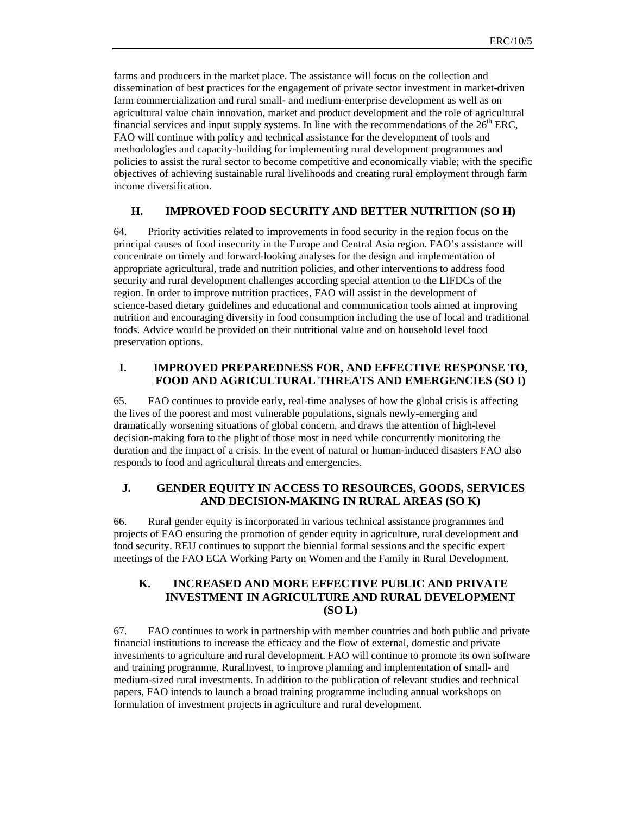farms and producers in the market place. The assistance will focus on the collection and dissemination of best practices for the engagement of private sector investment in market-driven farm commercialization and rural small- and medium-enterprise development as well as on agricultural value chain innovation, market and product development and the role of agricultural financial services and input supply systems. In line with the recommendations of the  $26<sup>th</sup>$  ERC, FAO will continue with policy and technical assistance for the development of tools and methodologies and capacity-building for implementing rural development programmes and policies to assist the rural sector to become competitive and economically viable; with the specific objectives of achieving sustainable rural livelihoods and creating rural employment through farm income diversification.

#### **H. IMPROVED FOOD SECURITY AND BETTER NUTRITION (SO H)**

64. Priority activities related to improvements in food security in the region focus on the principal causes of food insecurity in the Europe and Central Asia region. FAO's assistance will concentrate on timely and forward-looking analyses for the design and implementation of appropriate agricultural, trade and nutrition policies, and other interventions to address food security and rural development challenges according special attention to the LIFDCs of the region. In order to improve nutrition practices, FAO will assist in the development of science-based dietary guidelines and educational and communication tools aimed at improving nutrition and encouraging diversity in food consumption including the use of local and traditional foods. Advice would be provided on their nutritional value and on household level food preservation options.

#### **I. IMPROVED PREPAREDNESS FOR, AND EFFECTIVE RESPONSE TO, FOOD AND AGRICULTURAL THREATS AND EMERGENCIES (SO I)**

65. FAO continues to provide early, real-time analyses of how the global crisis is affecting the lives of the poorest and most vulnerable populations, signals newly-emerging and dramatically worsening situations of global concern, and draws the attention of high-level decision-making fora to the plight of those most in need while concurrently monitoring the duration and the impact of a crisis. In the event of natural or human-induced disasters FAO also responds to food and agricultural threats and emergencies.

#### **J. GENDER EQUITY IN ACCESS TO RESOURCES, GOODS, SERVICES AND DECISION-MAKING IN RURAL AREAS (SO K)**

66. Rural gender equity is incorporated in various technical assistance programmes and projects of FAO ensuring the promotion of gender equity in agriculture, rural development and food security. REU continues to support the biennial formal sessions and the specific expert meetings of the FAO ECA Working Party on Women and the Family in Rural Development.

## **K. INCREASED AND MORE EFFECTIVE PUBLIC AND PRIVATE INVESTMENT IN AGRICULTURE AND RURAL DEVELOPMENT (SO L)**

67. FAO continues to work in partnership with member countries and both public and private financial institutions to increase the efficacy and the flow of external, domestic and private investments to agriculture and rural development. FAO will continue to promote its own software and training programme, RuralInvest, to improve planning and implementation of small- and medium-sized rural investments. In addition to the publication of relevant studies and technical papers, FAO intends to launch a broad training programme including annual workshops on formulation of investment projects in agriculture and rural development.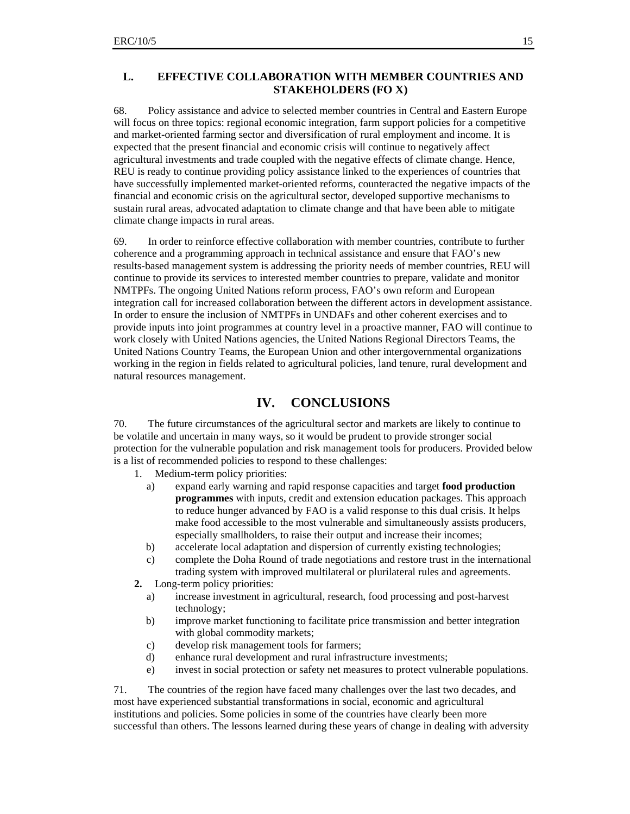#### **L. EFFECTIVE COLLABORATION WITH MEMBER COUNTRIES AND STAKEHOLDERS (FO X)**

68. Policy assistance and advice to selected member countries in Central and Eastern Europe will focus on three topics: regional economic integration, farm support policies for a competitive and market-oriented farming sector and diversification of rural employment and income. It is expected that the present financial and economic crisis will continue to negatively affect agricultural investments and trade coupled with the negative effects of climate change. Hence, REU is ready to continue providing policy assistance linked to the experiences of countries that have successfully implemented market-oriented reforms, counteracted the negative impacts of the financial and economic crisis on the agricultural sector, developed supportive mechanisms to sustain rural areas, advocated adaptation to climate change and that have been able to mitigate climate change impacts in rural areas.

69. In order to reinforce effective collaboration with member countries, contribute to further coherence and a programming approach in technical assistance and ensure that FAO's new results-based management system is addressing the priority needs of member countries, REU will continue to provide its services to interested member countries to prepare, validate and monitor NMTPFs. The ongoing United Nations reform process, FAO's own reform and European integration call for increased collaboration between the different actors in development assistance. In order to ensure the inclusion of NMTPFs in UNDAFs and other coherent exercises and to provide inputs into joint programmes at country level in a proactive manner, FAO will continue to work closely with United Nations agencies, the United Nations Regional Directors Teams, the United Nations Country Teams, the European Union and other intergovernmental organizations working in the region in fields related to agricultural policies, land tenure, rural development and natural resources management.

## **IV. CONCLUSIONS**

70. The future circumstances of the agricultural sector and markets are likely to continue to be volatile and uncertain in many ways, so it would be prudent to provide stronger social protection for the vulnerable population and risk management tools for producers. Provided below is a list of recommended policies to respond to these challenges:

1. Medium-term policy priorities:

- a) expand early warning and rapid response capacities and target **food production programmes** with inputs, credit and extension education packages. This approach to reduce hunger advanced by FAO is a valid response to this dual crisis. It helps make food accessible to the most vulnerable and simultaneously assists producers, especially smallholders, to raise their output and increase their incomes;
- b) accelerate local adaptation and dispersion of currently existing technologies;
- c) complete the Doha Round of trade negotiations and restore trust in the international trading system with improved multilateral or plurilateral rules and agreements.
- **2.** Long-term policy priorities:
	- a) increase investment in agricultural, research, food processing and post-harvest technology;
	- b) improve market functioning to facilitate price transmission and better integration with global commodity markets;
	- c) develop risk management tools for farmers;
	- d) enhance rural development and rural infrastructure investments;
	- e) invest in social protection or safety net measures to protect vulnerable populations.

71. The countries of the region have faced many challenges over the last two decades, and most have experienced substantial transformations in social, economic and agricultural institutions and policies. Some policies in some of the countries have clearly been more successful than others. The lessons learned during these years of change in dealing with adversity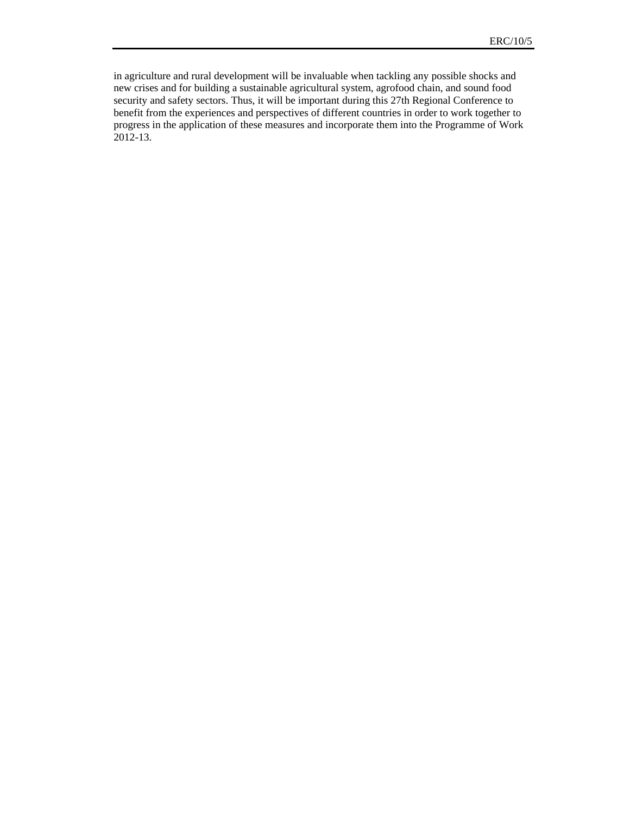in agriculture and rural development will be invaluable when tackling any possible shocks and new crises and for building a sustainable agricultural system, agrofood chain, and sound food security and safety sectors. Thus, it will be important during this 27th Regional Conference to benefit from the experiences and perspectives of different countries in order to work together to progress in the application of these measures and incorporate them into the Programme of Work 2012-13.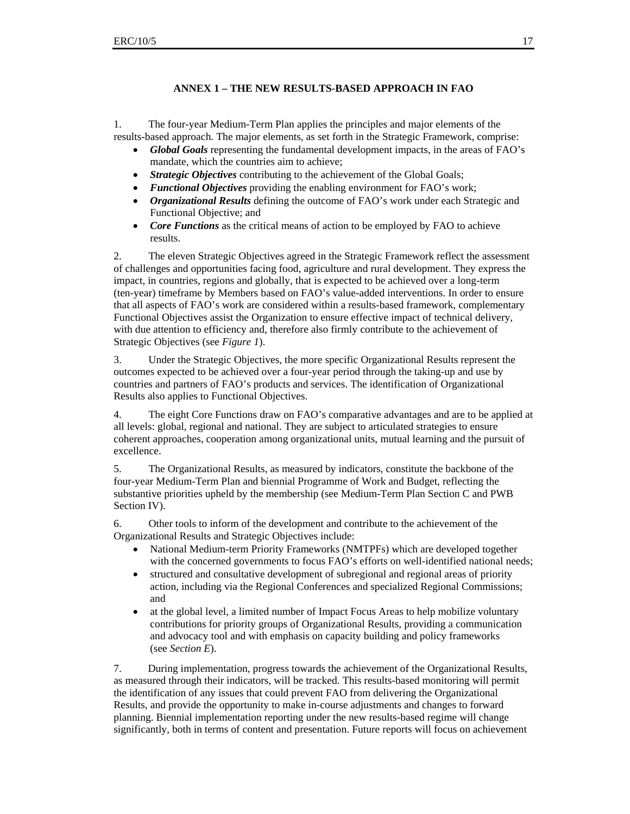#### **ANNEX 1 – THE NEW RESULTS-BASED APPROACH IN FAO**

1. The four-year Medium-Term Plan applies the principles and major elements of the results-based approach. The major elements, as set forth in the Strategic Framework, comprise:

- *Global Goals* representing the fundamental development impacts, in the areas of FAO's mandate, which the countries aim to achieve;
- **Strategic Objectives** contributing to the achievement of the Global Goals;
- *Functional Objectives* providing the enabling environment for FAO's work;
- *Organizational Results* defining the outcome of FAO's work under each Strategic and Functional Objective; and
- *Core Functions* as the critical means of action to be employed by FAO to achieve results.

2. The eleven Strategic Objectives agreed in the Strategic Framework reflect the assessment of challenges and opportunities facing food, agriculture and rural development. They express the impact, in countries, regions and globally, that is expected to be achieved over a long-term (ten-year) timeframe by Members based on FAO's value-added interventions. In order to ensure that all aspects of FAO's work are considered within a results-based framework, complementary Functional Objectives assist the Organization to ensure effective impact of technical delivery, with due attention to efficiency and, therefore also firmly contribute to the achievement of Strategic Objectives (see *Figure 1*).

3. Under the Strategic Objectives, the more specific Organizational Results represent the outcomes expected to be achieved over a four-year period through the taking-up and use by countries and partners of FAO's products and services. The identification of Organizational Results also applies to Functional Objectives.

4. The eight Core Functions draw on FAO's comparative advantages and are to be applied at all levels: global, regional and national. They are subject to articulated strategies to ensure coherent approaches, cooperation among organizational units, mutual learning and the pursuit of excellence.

5. The Organizational Results, as measured by indicators, constitute the backbone of the four-year Medium-Term Plan and biennial Programme of Work and Budget, reflecting the substantive priorities upheld by the membership (see Medium-Term Plan Section C and PWB Section IV).

6. Other tools to inform of the development and contribute to the achievement of the Organizational Results and Strategic Objectives include:

- National Medium-term Priority Frameworks (NMTPFs) which are developed together with the concerned governments to focus FAO's efforts on well-identified national needs;
- structured and consultative development of subregional and regional areas of priority action, including via the Regional Conferences and specialized Regional Commissions; and
- at the global level, a limited number of Impact Focus Areas to help mobilize voluntary contributions for priority groups of Organizational Results, providing a communication and advocacy tool and with emphasis on capacity building and policy frameworks (see *Section E*).

7. During implementation, progress towards the achievement of the Organizational Results, as measured through their indicators, will be tracked. This results-based monitoring will permit the identification of any issues that could prevent FAO from delivering the Organizational Results, and provide the opportunity to make in-course adjustments and changes to forward planning. Biennial implementation reporting under the new results-based regime will change significantly, both in terms of content and presentation. Future reports will focus on achievement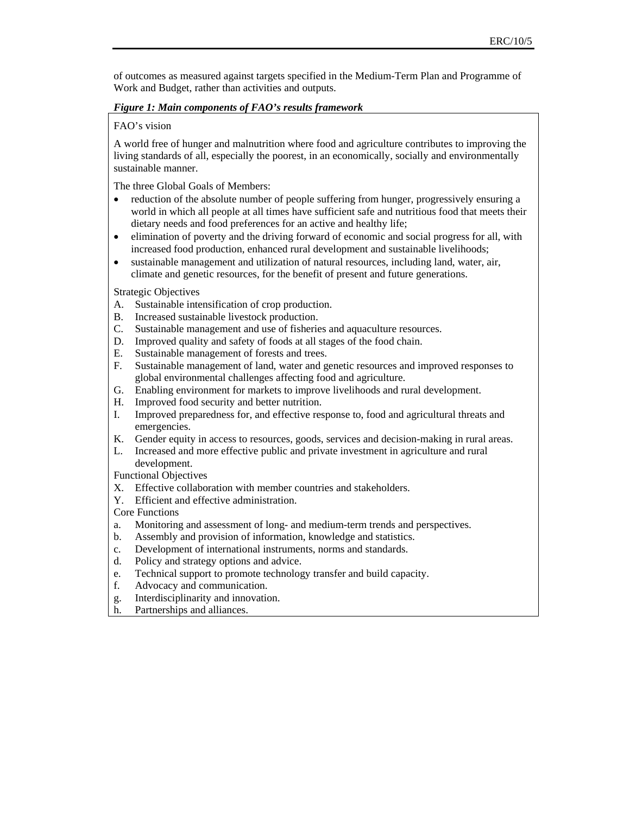of outcomes as measured against targets specified in the Medium-Term Plan and Programme of Work and Budget, rather than activities and outputs.

#### *Figure 1: Main components of FAO's results framework*

#### FAO's vision

A world free of hunger and malnutrition where food and agriculture contributes to improving the living standards of all, especially the poorest, in an economically, socially and environmentally sustainable manner.

The three Global Goals of Members:

- reduction of the absolute number of people suffering from hunger, progressively ensuring a world in which all people at all times have sufficient safe and nutritious food that meets their dietary needs and food preferences for an active and healthy life;
- elimination of poverty and the driving forward of economic and social progress for all, with increased food production, enhanced rural development and sustainable livelihoods;
- sustainable management and utilization of natural resources, including land, water, air, climate and genetic resources, for the benefit of present and future generations.

Strategic Objectives

- A. Sustainable intensification of crop production.
- B. Increased sustainable livestock production.
- C. Sustainable management and use of fisheries and aquaculture resources.
- D. Improved quality and safety of foods at all stages of the food chain.
- E. Sustainable management of forests and trees.
- F. Sustainable management of land, water and genetic resources and improved responses to global environmental challenges affecting food and agriculture.
- G. Enabling environment for markets to improve livelihoods and rural development.
- H. Improved food security and better nutrition.
- I. Improved preparedness for, and effective response to, food and agricultural threats and emergencies.
- K. Gender equity in access to resources, goods, services and decision-making in rural areas.
- L. Increased and more effective public and private investment in agriculture and rural development.

Functional Objectives

- X. Effective collaboration with member countries and stakeholders.
- Y. Efficient and effective administration.

Core Functions

- a. Monitoring and assessment of long- and medium-term trends and perspectives.
- b. Assembly and provision of information, knowledge and statistics.
- c. Development of international instruments, norms and standards.
- d. Policy and strategy options and advice.
- e. Technical support to promote technology transfer and build capacity.
- f. Advocacy and communication.
- g. Interdisciplinarity and innovation.
- h. Partnerships and alliances.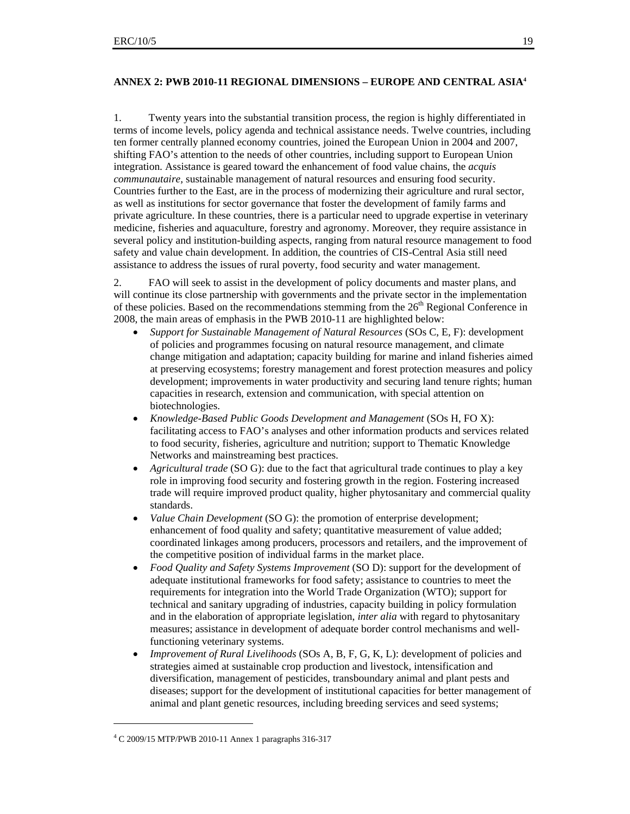#### **ANNEX 2: PWB 2010-11 REGIONAL DIMENSIONS – EUROPE AND CENTRAL ASIA4**

1. Twenty years into the substantial transition process, the region is highly differentiated in terms of income levels, policy agenda and technical assistance needs. Twelve countries, including ten former centrally planned economy countries, joined the European Union in 2004 and 2007, shifting FAO's attention to the needs of other countries, including support to European Union integration. Assistance is geared toward the enhancement of food value chains, the *acquis communautaire,* sustainable management of natural resources and ensuring food security. Countries further to the East, are in the process of modernizing their agriculture and rural sector, as well as institutions for sector governance that foster the development of family farms and private agriculture. In these countries, there is a particular need to upgrade expertise in veterinary medicine, fisheries and aquaculture, forestry and agronomy. Moreover, they require assistance in several policy and institution-building aspects, ranging from natural resource management to food safety and value chain development. In addition, the countries of CIS-Central Asia still need assistance to address the issues of rural poverty, food security and water management.

2. FAO will seek to assist in the development of policy documents and master plans, and will continue its close partnership with governments and the private sector in the implementation of these policies. Based on the recommendations stemming from the  $26<sup>th</sup>$  Regional Conference in 2008, the main areas of emphasis in the PWB 2010-11 are highlighted below:

- *Support for Sustainable Management of Natural Resources* (SOs C, E, F): development of policies and programmes focusing on natural resource management, and climate change mitigation and adaptation; capacity building for marine and inland fisheries aimed at preserving ecosystems; forestry management and forest protection measures and policy development; improvements in water productivity and securing land tenure rights; human capacities in research, extension and communication, with special attention on biotechnologies.
- *Knowledge-Based Public Goods Development and Management* (SOs H, FO X): facilitating access to FAO's analyses and other information products and services related to food security, fisheries, agriculture and nutrition; support to Thematic Knowledge Networks and mainstreaming best practices.
- *Agricultural trade* (SO G): due to the fact that agricultural trade continues to play a key role in improving food security and fostering growth in the region. Fostering increased trade will require improved product quality, higher phytosanitary and commercial quality standards.
- *Value Chain Development* (SO G): the promotion of enterprise development; enhancement of food quality and safety; quantitative measurement of value added; coordinated linkages among producers, processors and retailers, and the improvement of the competitive position of individual farms in the market place.
- *Food Quality and Safety Systems Improvement* (SO D): support for the development of adequate institutional frameworks for food safety; assistance to countries to meet the requirements for integration into the World Trade Organization (WTO); support for technical and sanitary upgrading of industries, capacity building in policy formulation and in the elaboration of appropriate legislation, *inter alia* with regard to phytosanitary measures; assistance in development of adequate border control mechanisms and wellfunctioning veterinary systems.
- *Improvement of Rural Livelihoods* (SOs A, B, F, G, K, L): development of policies and strategies aimed at sustainable crop production and livestock, intensification and diversification, management of pesticides, transboundary animal and plant pests and diseases; support for the development of institutional capacities for better management of animal and plant genetic resources, including breeding services and seed systems;

 $\overline{a}$ 

<sup>4</sup> C 2009/15 MTP/PWB 2010-11 Annex 1 paragraphs 316-317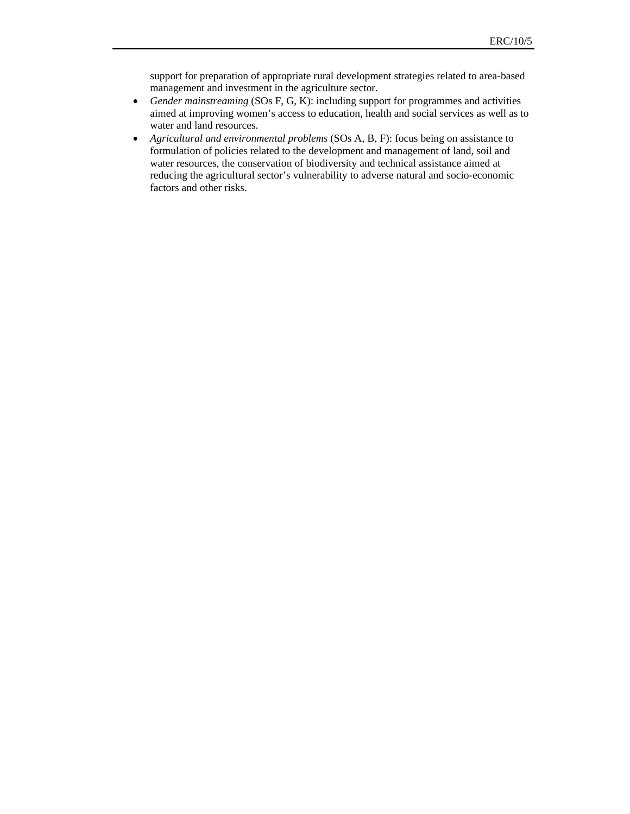support for preparation of appropriate rural development strategies related to area-based management and investment in the agriculture sector.

- *Gender mainstreaming* (SOs F, G, K): including support for programmes and activities aimed at improving women's access to education, health and social services as well as to water and land resources.
- *Agricultural and environmental problems* (SOs A, B, F): focus being on assistance to formulation of policies related to the development and management of land, soil and water resources, the conservation of biodiversity and technical assistance aimed at reducing the agricultural sector's vulnerability to adverse natural and socio-economic factors and other risks.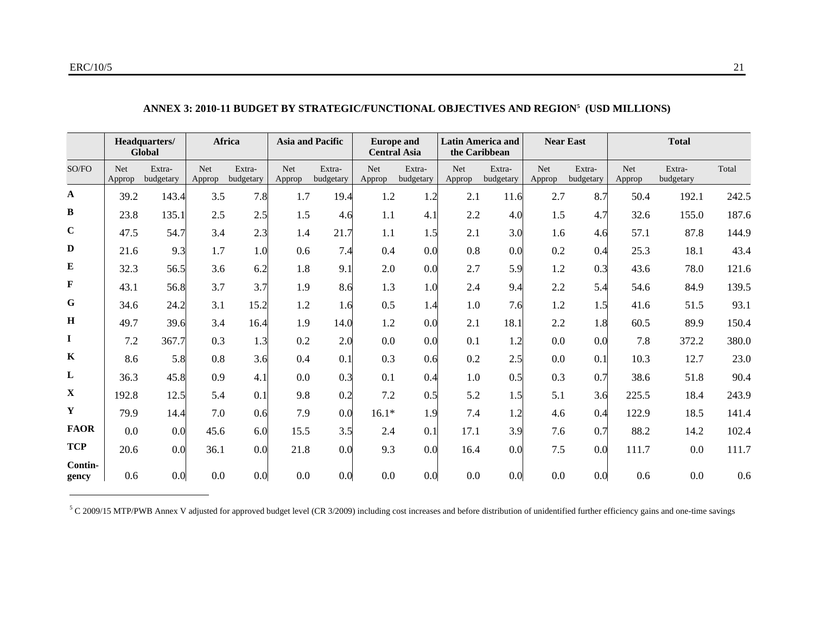|                  | Headquarters/<br>Global |                     | <b>Africa</b>        |                     | <b>Asia and Pacific</b> |                     | <b>Europe and</b><br><b>Central Asia</b> |                     | <b>Latin America and</b><br>the Caribbean |                     | <b>Near East</b>     |                     | <b>Total</b>         |                     |       |
|------------------|-------------------------|---------------------|----------------------|---------------------|-------------------------|---------------------|------------------------------------------|---------------------|-------------------------------------------|---------------------|----------------------|---------------------|----------------------|---------------------|-------|
| SO/FO            | Net<br>Approp           | Extra-<br>budgetary | <b>Net</b><br>Approp | Extra-<br>budgetary | <b>Net</b><br>Approp    | Extra-<br>budgetary | <b>Net</b><br>Approp                     | Extra-<br>budgetary | Net<br>Approp                             | Extra-<br>budgetary | <b>Net</b><br>Approp | Extra-<br>budgetary | <b>Net</b><br>Approp | Extra-<br>budgetary | Total |
| $\mathbf{A}$     | 39.2                    | 143.4               | 3.5                  | 7.8                 | 1.7                     | 19.4                | 1.2                                      | 1.2                 | 2.1                                       | 11.6                | 2.7                  | 8.7                 | 50.4                 | 192.1               | 242.5 |
| $\, {\bf B}$     | 23.8                    | 135.1               | 2.5                  | 2.5                 | 1.5                     | 4.6                 | 1.1                                      | 4.1                 | 2.2                                       | 4.0                 | 1.5                  | 4.7                 | 32.6                 | 155.0               | 187.6 |
| $\mathbf C$      | 47.5                    | 54.7                | 3.4                  | 2.3                 | 1.4                     | 21.7                | 1.1                                      | 1.5                 | 2.1                                       | 3.0                 | 1.6                  | 4.6                 | 57.1                 | 87.8                | 144.9 |
| $\mathbf{D}$     | 21.6                    | 9.3                 | 1.7                  | 1.0                 | 0.6                     | 7.4                 | 0.4                                      | 0.0                 | 0.8                                       | 0.0                 | 0.2                  | 0.4                 | 25.3                 | 18.1                | 43.4  |
| ${\bf E}$        | 32.3                    | 56.5                | 3.6                  | 6.2                 | 1.8                     | 9.1                 | 2.0                                      | 0.0                 | 2.7                                       | 5.9                 | 1.2                  | 0.3                 | 43.6                 | 78.0                | 121.6 |
| $\mathbf F$      | 43.1                    | 56.8                | 3.7                  | 3.7                 | 1.9                     | 8.6                 | 1.3                                      | 1.0                 | 2.4                                       | 9.4                 | 2.2                  | 5.4                 | 54.6                 | 84.9                | 139.5 |
| ${\bf G}$        | 34.6                    | 24.2                | 3.1                  | 15.2                | 1.2                     | 1.6                 | 0.5                                      | 1.4                 | 1.0                                       | 7.6                 | 1.2                  | 1.5                 | 41.6                 | 51.5                | 93.1  |
| $\, {\bf H}$     | 49.7                    | 39.6                | 3.4                  | 16.4                | 1.9                     | 14.0                | 1.2                                      | 0.0                 | 2.1                                       | 18.1                | 2.2                  | 1.8                 | 60.5                 | 89.9                | 150.4 |
| $\mathbf I$      | 7.2                     | 367.7               | 0.3                  | 1.3                 | 0.2                     | 2.0                 | 0.0                                      | 0.0                 | 0.1                                       | 1.2                 | 0.0                  | 0.0                 | 7.8                  | 372.2               | 380.0 |
| $\bf K$          | 8.6                     | 5.8                 | 0.8                  | 3.6                 | 0.4                     | 0.1                 | 0.3                                      | 0.6                 | 0.2                                       | 2.5                 | 0.0                  | 0.1                 | 10.3                 | 12.7                | 23.0  |
| L                | 36.3                    | 45.8                | 0.9                  | 4.1                 | 0.0                     | 0.3                 | 0.1                                      | 0.4                 | 1.0                                       | 0.5                 | 0.3                  | 0.7                 | 38.6                 | 51.8                | 90.4  |
| $\mathbf X$      | 192.8                   | 12.5                | 5.4                  | 0.1                 | 9.8                     | 0.2                 | 7.2                                      | 0.5                 | 5.2                                       | 1.5                 | 5.1                  | 3.6                 | 225.5                | 18.4                | 243.9 |
| Y                | 79.9                    | 14.4                | 7.0                  | 0.6                 | 7.9                     | 0.0                 | $16.1*$                                  | 1.9                 | 7.4                                       | 1.2                 | 4.6                  | 0.4                 | 122.9                | 18.5                | 141.4 |
| <b>FAOR</b>      | 0.0                     | 0.0                 | 45.6                 | 6.0                 | 15.5                    | 3.5                 | 2.4                                      | 0.1                 | 17.1                                      | 3.9                 | 7.6                  | 0.7                 | 88.2                 | 14.2                | 102.4 |
| <b>TCP</b>       | 20.6                    | 0.0                 | 36.1                 | 0.0                 | 21.8                    | 0.0                 | 9.3                                      | 0.0                 | 16.4                                      | 0.0                 | 7.5                  | 0.0                 | 111.7                | 0.0                 | 111.7 |
| Contin-<br>gency | 0.6                     | 0.0                 | 0.0                  | 0.0                 | 0.0                     | 0.0                 | 0.0                                      | 0.0                 | 0.0                                       | 0.0                 | 0.0                  | 0.0                 | 0.6                  | 0.0                 | 0.6   |

## **ANNEX 3: 2010-11 BUDGET BY STRATEGIC/FUNCTIONAL OBJECTIVES AND REGION5 (USD MILLIONS)**

 $5$  C 2009/15 MTP/PWB Annex V adjusted for approved budget level (CR 3/2009) including cost increases and before distribution of unidentified further efficiency gains and one-time savings